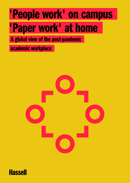### 'People work' on campus 'Paper work' at home

A global view of the post-pandemic

academic workplace



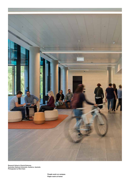

Research School of Social Sciences, Australian National University, Canberra, Australia Photography by Mark Syke

> People work on campus Paper work at home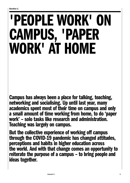## 'PEOPLE WORK' ON CAMPUS, 'PAPER WORK' AT HOME

Campus has always been a place for talking, teaching, networking and socialising. Up until last year, many academics spent most of their time on campus and only a small amount of time working from home, to do 'paper work' – solo tasks like research and administration. Teaching was largely on campus.

But the collective experience of working off campus through the COVID-19 pandemic has changed attitudes, perceptions and habits in higher education across the world. And with that change comes an opportunity to reiterate the purpose of a campus – to bring people and ideas together.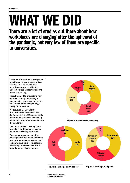## WHAT WE DID

There are a lot of studies out there about how workplaces are changing after the upheaval of the pandemic, but very few of them are specific to universities.

We know that academic workplaces are different to commercial offices. We also know that academic activities can vary considerably across both the academic year and the type of faculty.

Hassell wanted to understand how university work patterns might change in the future. And to do this, we thought it was best just to go straight to the source.

We surveyed 571 academics from over 50 universities across Singapore, the UK, US and Australia about their experiences of working on and off campus before and during the pandemic.

This report details how they fared and what they hope for in the postpandemic university workplace.

The sample was representative across gender, age, role and faculty, providing a broad data set that we split in various ways to reveal some interesting differences and some remarkably consistent themes.

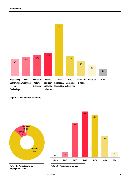







30%

employment type

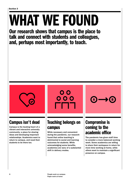# WHAT WE FOUND

Our research shows that campus is the place to talk and connect with students and colleagues, and, perhaps most importantly, to teach.



### Campus isn't dead

Campus is the beating heart of a vibrant and interactive university community; a place for sharing ideas and developing important relationships. Academics want to return to campus, and need their students to be there too.



### Teaching belongs on campus

While necessary and convenient during the pandemic, our research found that online teaching is detrimental to social and learning outcomes for students. While acknowledging some benefits, academics are wary of a substantial shift in delivery modes.

### Compromise is coming to the academic office

The pandemic has given staff time to consider a more balanced working week. Some academics are willing to share their workspace in return for more time working at home, while others want to maintain a significant presence on campus.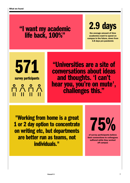### "I want my academic life back, 100%"

### 2.9 days

the average amount of time academics want to spend on campus in the future, down from 3.8 days pre-pandemic

571 survey participants A A A A - 11 -

"Universities are a site of conversations about ideas and thoughts. 'I can't hear you, you're on mute',<br>challenges this."

"Working from home is a great 1 or 2 day option to concentrate on writing etc, but departments are better run as teams, not individuals."

75%

of survey participants believe their connections to colleagues suffered while they worked off campus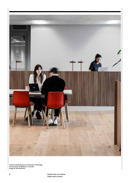

Faculty of Engineering and Information Technology, The University of Melbourne, Australia Image by Tom Blachford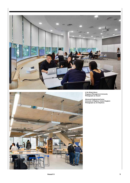



Li Ka Shing Library Singapore Management University Photography by Hassell

Advanced Engineering Centre University of Brighton, United Kingdom Photography by Jim Stephens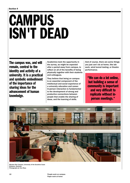### **CAMPUS** ISN'T DEAD

The campus was, and will remain, central to the identity and activity of a university. It is a practical and symbolic embodiment of the importance of sharing ideas for the advancement of human knowledge.

Academics took the opportunity in the survey, as might be expected after a period away from campus, to reflect on all of the benefits of being physically together with their students and colleagues.

They believe that being on campus is an essential component of the intellectual and social experience of a university education and career. In-person interaction is fundamental to the development of strong and productive connections between people that enable the sharing of ideas, and the learning of skills.

And of course, there are some things you just can't do at home, like lab work, wind tunnel testing, or theatre performance.

"We can do a lot online, but building a sense of community is important and very difficult to replicate without inperson meetings."



Moreton Bay Campus, University of the Sunshine Coast Brisbane, Australia Photography by Tom Ross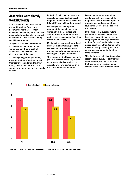#### Academics were already working flexibly

As the pandemic took hold around the world, working from home became the norm across many industries. Since then, there has been an equally dramatic uptick in interest in whether this new way of working would be permanent.

The year 2020 has been touted as a transformative moment in the workplace. But it turns out that academics were in some ways already ahead of the curve.

At the beginning of the pandemic, most universities effectively closed their campuses and mandated that many, if not all, students and staff worked from home for varying periods of time.

By April of 2021, Singaporean and Australian universities had largely reopened their campuses, while the US and UK were still partially closed.

We mapped the self-reported amount of time academics spent working from home before and after lockdowns, and their future preferences as a percentage of their work time each week.

Most academics were already doing some work at home (51 per cent were working from home one day a week, and only ten per cent were working on campus at all times).

This contrasts with Hassell research (ref) that shows almost 70 per cent of commercial office workers in Australia were working primarily in the office before the pandemic.

Looking at it another way, a lot of academics still want to spend the majority of their time on campus. On average, academics spent almost four days a week on campus before the pandemic.

In the future, that average falls to just under three days. Women are less likely to want to spend time on campus (around two days compared to three for men), and this holds true across countries, although men in the US were already spending less time on campus compared to the other three countries.

This finding also reflects attitudes in a recent Hassell survey of commercial office workers, (ref) which showed that women were less inclined to want to return to the office than men.

4.0 3.9 3.8

2.9 2.9 2.8



Figure 7. Days on campus - average Figure 8. Days on campus - gender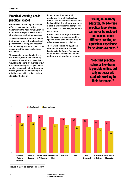#### Practical learning needs practical spaces

Preferences for working on campus differ across faculties, which underscores the need for universities to address workplace issues from a strategic, user-centred perspective.

Science and creative arts disciplines that require practical, lab-based and performance learning and research are more likely to want to spend time on campus than the social science disciplines.

The exception in the data to this is the Medical, Health and Veterinary Sciences. Academics in those fields would like to spend an average of 1.4 days less on campus, coupled with a smaller increase in either time spent working from home or working in a third location, which is likely to be a clinical setting or lab.

In fact, more than half of all academics from all the faculties except Law, Economics and Business indicated that they already worked in a third place (neither on campus nor at home) for, on average just under a day a week.

Beyond clinical settings these other locations could include co-working spaces, cafés, smaller work hubs or off-campus university buildings.

There was however, no significant demand for more time in these locations in the future. The change in preferences for work location is entirely toward working from home.

"Being an anatomy educator, face-to-face practical laboratories can never be replaced and causes much difficulty creating an equivalent experience for students overseas."

"Teaching practical subjects like drama is possible online, but really not easy with students working in their bedrooms."



Figure 9. Days on campus by faculty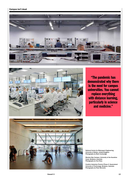



"The pandemic has demonstrated why there is the need for campus universities. You cannot replace everything with distance learning, particularly in science and medicine."



National Centre for Motorsport Engineering, University of Bolton, United Kingdom Photography by Mark Cocksedge

Moreton Bay Campus, University of the Sunshine Coast, Brisbane, Australia Photography by Tom Ross

Creative Industries Precinct Phase 2, Queensland University of Technology, Brisbane, Australia Photography by Peter Bennetts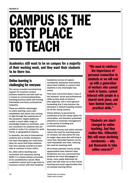### CAMPUS IS THE BEST PLACE TO TEACH

Academics still want to be on campus for a majority of their working week, and they want their students to be there too.

#### Online learning is challenging for everyone

The survey revealed overwhelming support for in-person contact between students and with staff as a means to communicating ideas, teaching practical skills and forming friendships and future professional networks.

There are definite advantages to online learning, some wellestablished and others only coming to light through the experiences of the pandemic. Digital platforms enable a much wider range of knowledge leaders to contribute, and are convenient for students who are unable to make it to campus for work, family, or geographical reasons.

In Australia, the loss of international students due to border shutdowns has been damaging, but could have been far worse had those students that were already enrolled not been able to continue to learn online.

So, while online teaching was convenient and necessary during 2020, it is viewed almost universally to be unsatisfactory overall. Most academics cannot wait to get back to in-person contact with their students.

Academics across all regions consistently expressed reservations about their inability to connect with students in any meaningful way online.

They were concerned about a loss of the students' social and professional skills as they study at home in their pyjamas, and a more general foreboding that it may become the dominant or default teaching method for all the wrong reasons.

Online delivery is perceived by academics to be the cheap option for universities, and therefore potentially attractive to university management in this period of funding and economic pressures.

Recorded lectures and online tutorials reduce the need for teaching space on campus, but also paves the way for larger class sizes that will bring in more fees. Recorded lessons can be used repeatedly over time, reducing the need for teaching staff.

All of these potential money saving opportunities have inherent risks. Academics are very concerned that students are more disengaged at home, more easily distracted (by pets!) and will miss out on the crucial learning and social opportunities that on-campus learning offers.

"We need to reinforce the importance of personal connection to students or we will end up with a generation of workers who cannot work in teams, cannot interact with people in a shared work place, and have limited hands-on practical skills."

"Students are shortchanged by online teaching. And they realise this. Ultimately this will mean declining enrolments — why pay thousands to take online courses?"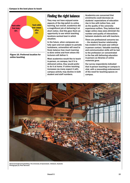

Figure 10. Preferred location for online teaching

#### Finding the right balance

They may not have enjoyed some aspects of the big switch to online learning, but overall, academics did a magnificent job of delivering it at short notice. And this gave them an opportunity to see which teaching locations worked best in which situation.

In the future, when campuses are fully open and not subject to periodic lockdowns, universities will need to finely balance how much learning is done online and from where the lecturers will deliver it.

Most academics would like to teach in-person, on campus, but if it is delivered online, they would prefer to do it at home. If online teaching increases (as many expect it will), campus activity may decline in both student and staff numbers.

Academics are concerned that enrolments could decrease as students' expectations of education rise in line with tuition fees, and as the quality of the university experience suffers. They believe that larger online class sizes diminish the number and quality of interactions between students and with teachers.

There are professional concerns too – the student/teacher relationship has eroded in the past year without in-person contact. Valuable teaching and communication skills will be lost to the profession (or concentrated in the few still delivering education in-person) as libraries of online materials grow.

Our survey respondents indicated that in-person teaching on campus is vital, with a resounding endorsement of the need for teaching spaces on campus.



Advanced Engineering Building, The University of Queensland, Brisbane, Australia Photography by Peter Bennetts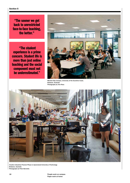"The sooner we get back to unrestricted face-to-face teaching, the better."

 "The student experience is a prime concern. Student life is more than just online teaching and the social component must not be underestimated."



Moreton Bay Campus, University of the Sunshine Coast, Brisbane, Australia Photography by Tom Ross



Creative Industries Precinct Phase 2, Queensland University of Technology Brisbane, Australia Photography by Peter Bennetts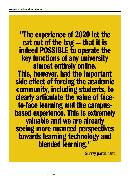"The experience of 2020 let the cat out of the bag — that it is indeed POSSIBLE to operate the key functions of any university almost entirely online. This, however, had the important side effect of forcing the academic community, including students, to clearly articulate the value of faceto-face learning and the campusbased experience. This is extremely valuable and we are already seeing more nuanced perspectives towards learning technology and blended learning."

Survey participant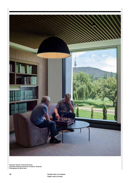

Research School of Social Sciences, Australian National University, Canberra, Australia Photography by Mark Syke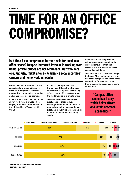## TIME FOR AN OFFICE COMPROMISE?

Is it time for a compromise in the tussle for academic office space? Despite increased interest in working from home, private offices are not redundant. But who gets one, and why, might alter as academics rebalance their campus and home work schedules.

Underutilisation of academic office space is a long-standing issue for facilities management teams at universities, compounded by funding and space pressures on campus.

Most academics (72 per cent) in our survey work from a private office, varying from a low of 55 per cent in the UK to a high of 83 per cent in the US.

In contrast, comparable data from a recent Hassell study about commercial workplaces shows only 32 per cent of office workers around the world worked in a private office.

While universities can no longer justify policies that preclude working from home on the basis of productivity, neither can academics justify an exclusive space on campus to be occupied for half a working week.

Academic offices are prized and private spaces where confidential conversations, deep thinking, research and administration tasks can and do get done.

They also provide convenient storage for books, files, equipment and other academic paraphernalia. In the fierce competition for academic talent, they are sometimes seen as a useful enticement.

> "Campus office space is a luxury which helps attract and retain research academics."



campus - country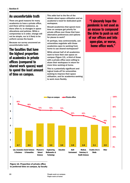#### An uncomfortable truth

There are good reasons for many academics to have a private office, and there will be resistance, as there often is, to changes in space allocations and policies. While a compromise is in order, change will not be simple, nor is it likely to be uniform across the board.

Because our survey uncovered an uncomfortable truth:

The faculties that have the highest proportion of academics in private offices (compared to shared work spaces) want to spend the least amount of time on campus.

This adds fuel to the fire of the debate about space utilisation and an academic's need for dedicated quiet workspace.

Should academics that spend more time on campus get priority for private offices over those that have alternative preferences and options for places to work?

Or perhaps, less controversially, can universities negotiate with those academics open to working from home to use shared workspaces?

While almost half of all academics want to have their own space on campus (Figure 13), a third of those with a private office were willing to share their workspace in return for more time working at home.

This is a potentially significant and logical trade-off for universities seeking to improve their space utilisation, and for academics seeking to work more flexibly.

"I sincerely hope the pandemic is not used as an excuse to compound the drive to push us out of our offices and into open-plan, or worse, home office work."



Figure 12. Proportion of private office to preferred time on campus, by faculty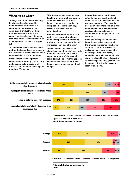#### Where to do what?

The high proportion of staff working in private offices in universities undoubtedly contributes to the sentiment in our survey of the campus as a productive workplace that enables concentration and connection to colleagues. Curiously, that does not necessarily translate to a perception of productivity. (Figure 13)

To understand why academics need and want private offices, we looked at the tasks that they would like to do on campus and at home in the future.

Most academics would prefer a combination of working both at home and on campus to undertake all three tasks of research, teaching and meetings. (Figure 14)

This makes perfect sense because teaching is rarely a full day activity, and there will often be time in between lectures and tutorials to complete other tasks, including research, management and administration.

How will universities balance staff preferences to work from home and on campus while maintaining a vibrant campus and apportioning workspace fairly and efficiently?

The answer is likely to be more shared spaces, where staff can work, meet and socialise, and which will come in a variety of shapes and sizes: bookable or co-working spaces, shared offices, team zones, quiet hubs, or cross- departmental drop in lounges.

Universities can also work toward agreed minimum benchmarks of office use for staff who want flexible work arrangements. This must be accompanied by more bookable work and meeting space, and generous provision of secure storage for academics without a private office on campus.

While the office perks of personal book shelves, private space and the prestige that comes with having an office on campus may not be replicated in a shared space, other benefits (working from home, equitable space allocations, window views for all, and better collaborative and social spaces) may go some way to compensating for the loss of a room of one's own.



Figure 13. Academic sentiment Strongly agree Agree Neutral Disagree Strongly disagree I don't know

about the campus environment



need to

other departments

I am more productive when I work on campus

I am open to sharing a desk/office if I do not need to be on campus as often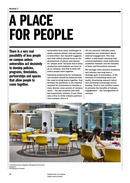## A PLACE FOR PEOPLE

There is a very real possibility of less people on campus unless universities act decisively to develop policies, programs, timetables, partnerships and spaces that allow people to come together.

Universities face many challenges to retain campus activity and use space to best effect. Our research suggests that their efforts should focus on the development of places and spaces for 'people work' because that is what academics and students are keen to do on campus. And that is what will entice people back together.

Individual preferences for workspace and location should be balanced with the need to bring teams together. And perhaps the pandemic is the impetus required for universities to develop a more diverse cross section of campus users — not just students and staff, but importantly, industry. If ever there was a time to invite industry partners onto campus, this is it.

Yet our research indicates many academics are ambivalent about external engagement. This may reflect a well-known wariness that commercialisation could undermine academic freedom and the benefits of basic and theoretical research.

But stronger links between academia and industry has long been a strategic goal of universities, in the interests of translating ideas into reality, developing research talent and attracting increasingly scarce funding. There's now another reason to promote the benefits of industry engagement — the reinvigoration of campus.



Li Ka Shing Library, Singapore Management University Singapore Photography by Hassell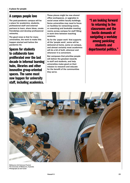#### A campus people love

The post-pandemic campus will be a place for academics, students, professional staff and external partners to learn, share ideas, create friendships and develop professional networks.

The good news is that for many universities, the work to make this happen started well before the pandemic hit.

Spaces for students to collaborate have proliferated over the last decade in informal learning hubs, libraries and other innovative group-oriented spaces. The same must now happen for university staff, including academics.

These places might be new shared office workspaces, or upgrades to social areas within faculty buildings. Some universities may need to focus on facilities for networking events, or coworking and bookable meeting rooms across campus for staff filling in work time between teaching sessions.

As for the 'paper work' that supports all the 'people work', some will be delivered at home, some on campus, and almost certainly most academics will do a bit of both, wherever and whenever it is convenient.

But campuses that prioritise people will deliver the greatest rewards to staff and students, and help universities make good on their mission to research and educate for the benefit of the communities they serve.

"I am looking forward to returning to live classrooms and the hectic demands of navigating a workday among panicking students and departmental politics."



Melbourne Life Sciences Precinct The University of Melbourne, Australia Photography by Earl Carter